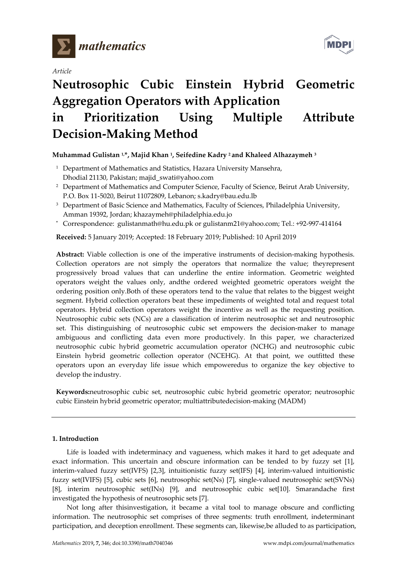

*Article*



# **Neutrosophic Cubic Einstein Hybrid Geometric Aggregation Operators with Application in Prioritization Using Multiple Attribute Decision-Making Method**

**Muhammad Gulistan 1, \*, Majid Khan 1, Seifedine Kadry <sup>2</sup> and Khaleed Alhazaymeh <sup>3</sup>**

- <sup>1</sup> Department of Mathematics and Statistics, Hazara University Mansehra, Dhodial 21130, Pakistan; majid\_swati@yahoo.com
- <sup>2</sup> Department of Mathematics and Computer Science, Faculty of Science, Beirut Arab University, P.O. Box 11-5020, Beirut 11072809, Lebanon; s.kadry@bau.edu.lb
- <sup>3</sup> Department of Basic Science and Mathematics, Faculty of Sciences, Philadelphia University, Amman 19392, Jordan; khazaymeh@philadelphia.edu.jo
- **\*** Correspondence: gulistanmath@hu.edu.pk or gulistanm21@yahoo.com; Tel.: +92-997-414164

**Received:** 5 January 2019; Accepted: 18 February 2019; Published: 10 April 2019

**Abstract:** Viable collection is one of the imperative instruments of decision-making hypothesis. Collection operators are not simply the operators that normalize the value; theyrepresent progressively broad values that can underline the entire information. Geometric weighted operators weight the values only, andthe ordered weighted geometric operators weight the ordering position only.Both of these operators tend to the value that relates to the biggest weight segment. Hybrid collection operators beat these impediments of weighted total and request total operators. Hybrid collection operators weight the incentive as well as the requesting position. Neutrosophic cubic sets (NCs) are a classification of interim neutrosophic set and neutrosophic set. This distinguishing of neutrosophic cubic set empowers the decision-maker to manage ambiguous and conflicting data even more productively. In this paper, we characterized neutrosophic cubic hybrid geometric accumulation operator (NCHG) and neutrosophic cubic Einstein hybrid geometric collection operator (NCEHG). At that point, we outfitted these operators upon an everyday life issue which empoweredus to organize the key objective to develop the industry.

**Keywords:**neutrosophic cubic set, neutrosophic cubic hybrid geometric operator; neutrosophic cubic Einstein hybrid geometric operator; multiattributedecision-making (MADM)

## **1. Introduction**

Life is loaded with indeterminacy and vagueness, which makes it hard to get adequate and exact information. This uncertain and obscure information can be tended to by fuzzy set [1], interim-valued fuzzy set(IVFS) [2,3], intuitionistic fuzzy set(IFS) [4], interim-valued intuitionistic fuzzy set(IVIFS) [5], cubic sets [6], neutrosophic set(Ns) [7], single-valued neutrosophic set(SVNs) [8], interim neutrosophic set(INs) [9], and neutrosophic cubic set[10]. Smarandache first investigated the hypothesis of neutrosophic sets [7].

Not long after thisinvestigation, it became a vital tool to manage obscure and conflicting information. The neutrosophic set comprises of three segments: truth enrollment, indeterminant participation, and deception enrollment. These segments can, likewise,be alluded to as participation,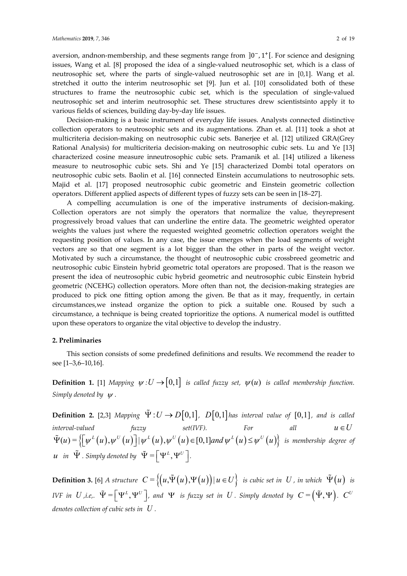aversion, andnon-membership, and these segments range from ]0<sup>−</sup>, 1+[. For science and designing issues, Wang et al. [8] proposed the idea of a single-valued neutrosophic set, which is a class of neutrosophic set, where the parts of single-valued neutrosophic set are in [0,1]. Wang et al. stretched it outto the interim neutrosophic set [9]. Jun et al. [10] consolidated both of these structures to frame the neutrosophic cubic set, which is the speculation of single-valued neutrosophic set and interim neutrosophic set. These structures drew scientistsinto apply it to various fields of sciences, building day-by-day life issues.

Decision-making is a basic instrument of everyday life issues. Analysts connected distinctive collection operators to neutrosophic sets and its augmentations. Zhan et. al. [11] took a shot at multicriteria decision-making on neutrosophic cubic sets. Banerjee et al. [12] utilized GRA(Grey Rational Analysis) for multicriteria decision-making on neutrosophic cubic sets. Lu and Ye [13] characterized cosine measure inneutrosophic cubic sets. Pramanik et al. [14] utilized a likeness measure to neutrosophic cubic sets. Shi and Ye [15] characterized Dombi total operators on neutrosophic cubic sets. Baolin et al. [16] connected Einstein accumulations to neutrosophic sets. Majid et al. [17] proposed neutrosophic cubic geometric and Einstein geometric collection operators. Different applied aspects of different types of fuzzy sets can be seen in [18–27].

A compelling accumulation is one of the imperative instruments of decision-making. Collection operators are not simply the operators that normalize the value, theyrepresent progressively broad values that can underline the entire data. The geometric weighted operator weights the values just where the requested weighted geometric collection operators weight the requesting position of values. In any case, the issue emerges when the load segments of weight vectors are so that one segment is a lot bigger than the other in parts of the weight vector. Motivated by such a circumstance, the thought of neutrosophic cubic crossbreed geometric and neutrosophic cubic Einstein hybrid geometric total operators are proposed. That is the reason we present the idea of neutrosophic cubic hybrid geometric and neutrosophic cubic Einstein hybrid geometric (NCEHG) collection operators. More often than not, the decision-making strategies are produced to pick one fitting option among the given. Be that as it may, frequently, in certain circumstances,we instead organize the option to pick a suitable one. Roused by such a circumstance, a technique is being created toprioritize the options. A numerical model is outfitted upon these operators to organize the vital objective to develop the industry.

## **2. Preliminaries**

This section consists of some predefined definitions and results. We recommend the reader to see [1–3,6–10,16].

**Definition 1.** [1] *Mapping*  $\psi: U \to [0,1]$  *is called fuzzy set,*  $\psi(u)$  *is called membership function. Simply denoted by* ψ *.*

**Definition 2.** [2,3] Mapping  $\Psi: U \to D[0,1]$ ,  $D[0,1]$  has interval value of  $[0,1]$ , and is called  $\mu$ *interval-valued fuzzy set(IVF).* For all  $u \in U$  $\tilde{\Psi}(u) = \left\{ \left[ \psi^L \left( u \right), \psi^U \left( u \right) \right] | \psi^L \left( u \right), \psi^U \left( u \right) \in [0,1]$  and  $\psi^L \left( u \right) \leq \psi^U \left( u \right) \right\}$  is membership degree of  $\bm{u}$  *in*  $\tilde{\bm{\Psi}}$  . Simply denoted by  $\tilde{\bm{\Psi}} = \left[ \bm{\Psi}^L, \bm{\Psi}^U \right]$ .

**Definition 3.** [6] *A structure*  $C = \{(u, \tilde{\Psi}(u), \Psi(u)) | u \in U\}$  *is cubic set in U, in which*  $\tilde{\Psi}(u)$  *is*  $IVF$  in  $U$  ,i.e,.  $\tilde{\Psi} = \left[ \Psi^L , \Psi^U \right]$ , and  $\Psi$  is fuzzy set in  $U$  . Simply denoted by  $C = \left( \tilde{\Psi}, \Psi \right)$ .  $C^U$ *denotes collection of cubic sets in U .*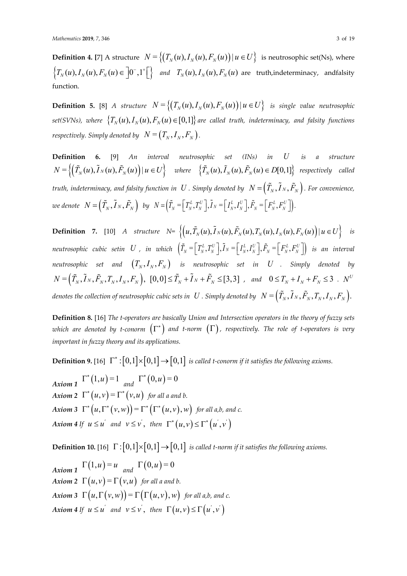**Definition 4.** [7] A structure  $N = \left\{ (T_N(u), I_N(u), F_N(u)) \mid u \in U \right\}$  is neutrosophic set(Ns), where  $\left\{T_N(u), T_N(u), F_N(u) \in \left]0^-, 1^+\right[\right\}$  and  $T_N(u), T_N(u), F_N(u)$  are truth,indeterminacy, andfalsity function.

**Definition 5.** [8] *A structure*  $N = \left\{ (T_N(u), I_N(u), F_N(u)) \mid u \in U \right\}$  *is single value neutrosophic set(SVNs), where*  $\{T_N(u), I_N(u), F_N(u) \in [0,1]\}$  *are called truth, indeterminacy, and falsity functions respectively. Simply denoted by*  $N = (T_N, I_N, F_N)$ .

**Definition 6.** [9] *An interval neutrosophic set (INs) in U is a structure*   $N = \left\{ \left( \tilde{T}_{N}(u), \tilde{I}_{N}(u), \tilde{F}_{N}(u) \right) | u \in U \right\}$  where  $\left\{ \tilde{T}_{N}(u), \tilde{I}_{N}(u), \tilde{F}_{N}(u) \in D[0,1] \right\}$  respectively called *truth, indeterminacy, and falsity function in*  $U$  *. Simply denoted by*  $N = (\tilde{T}_N, \tilde{I}_N, \tilde{F}_N)$ . For convenience,  $\bm{w}$ e denote  $\bm{N} = \left(\widetilde{T}_N, \widetilde{\bm{I}}_N, \widetilde{F}_N\right)$  by  $N = \left(\widetilde{T}_N = \left[\begin{matrix}T_N^L, T_N^U\end{matrix}\right], \widetilde{\bm{I}}_N = \left[\begin{matrix}I_N^L, I_N^U\end{matrix}\right], \widetilde{F}_N = \left[\begin{matrix}F_N^L, F_N^U\end{matrix}\right]\right).$ 

**Definition** 7. [10] *A structure*  $N = \left\{ \left( u, \tilde{T}_N(u), \tilde{I}_N(u), \tilde{F}_N(u), T_N(u), I_N(u), F_N(u) \right) | u \in U \right\}$  is  $neutron~ of$   $cubic~setin~U$  , in which  $\left(\tilde{T}_{N}$  =  $\left[\varGamma_{N}^{L},\varGamma_{N}^{U}\right], \tilde{I}_{N}$  =  $\left[\varGamma_{N}^{L},\varGamma_{N}^{U}\right], \tilde{F}_{N}$  =  $\left[\varGamma_{N}^{L},\varGamma_{N}^{U}\right]\right)$  is an interval *neutrosophic set and*  $(T_N, I_N, F_N)$  *is neutrosophic set in U . Simply denoted by*  $N=\left(\tilde{T}_{_N}, \tilde{I}_N, \tilde{F}_{_N}, T_{_N}, I_{_N}, F_{_N}\right), \,\, [0,0]\!\leq\! \tilde{T}_{_N}+\tilde{I}_N+\tilde{F}_{_N}\!\leq\![3,3]\,$  , and  $0\!\leq\! T_{_N}+I_{_N}+F_{_N}\!\leq\! 3$  .  $N^U$ *denotes the collection of neutrosophic cubic sets in*  $U$  *. Simply denoted by*  $N = (\tilde{T}_N, \tilde{I}_N, \tilde{F}_N, T_N, I_N, F_N)$ .

**Definition 8.** [16] *The t-operators are basically Union and Intersection operators in the theory of fuzzy sets which are denoted by t-conorm*  $(\Gamma^*)$  *and t-norm*  $(\Gamma)$ *, respectively. The role of t-operators is very important in fuzzy theory and its applications.*

**Definition 9.** [16]  $\Gamma^*: [0,1] \times [0,1] \rightarrow [0,1]$  is called t-conorm if it satisfies the following axioms.

*Axiom* 1  $\Gamma^*(1, u) = 1$  *and*  $\Gamma^*(0, u) = 0$ *Axiom* 2  $\Gamma^*(u,v) = \Gamma^*(v,u)$  *for all a and b. Axiom 3*  $\Gamma^* (u, \Gamma^* (v, w)) = \Gamma^* (\Gamma^* (u, v), w)$  for all a,b, and c.  $Axiom$  4 If  $u \leq u^{'}$  and  $v \leq v^{'},$  then  $\Gamma^{*}\big(u,v\big) \leq \Gamma^{*}\big(u^{'},v^{'}\big)$ 

**Definition 10.** [16]  $\Gamma : [0,1] \times [0,1] \rightarrow [0,1]$  *is called t-norm if it satisfies the following axioms.* 

 $Axiom 1$   $\Gamma(1, u) = u$   $and$   $\Gamma(0, u) = 0$ *Axiom* 2  $\Gamma(u, v) = \Gamma(v, u)$  *for all a and b. Axiom 3*  $\Gamma(u, \Gamma(v, w)) = \Gamma(\Gamma(u, v), w)$  *for all a,b, and c.*  $A$ xiom 4 If  $u \leq u^{'}$  and  $v \leq v^{'},$  then  $\Gamma\big(u,v\big) \leq \Gamma\big(u^{'},v^{'}\big)$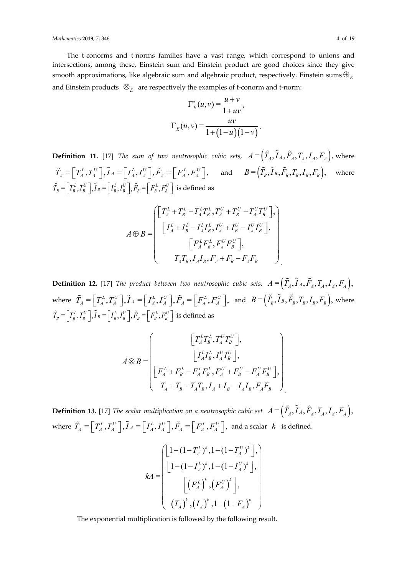#### *Mathematics* **2019**, *7*, 346 4 of 19

The t-conorms and t-norms families have a vast range, which correspond to unions and intersections, among these, Einstein sum and Einstein product are good choices since they give smooth approximations, like algebraic sum and algebraic product, respectively. Einstein sums  $\oplus_{\scriptscriptstyle E}$ and Einstein products  $\mathcal{B}_E$  are respectively the examples of t-conorm and t-norm:

$$
\Gamma_E^*(u, v) = \frac{u + v}{1 + uv},
$$

$$
\Gamma_E(u, v) = \frac{uv}{1 + (1 - u)(1 - v)}.
$$

**Definition 11.** [17] *The sum of two neutrosophic cubic sets,*  $A = (\tilde{T}_A, \tilde{I}_A, \tilde{F}_A, T_A, I_A, F_A)$ , where  $\tilde{T}_A = \left[T_A^L, T_A^U\right], \tilde{I}_A = \left[I_A^L, I_A^U\right], \tilde{F}_A = \left[F_A^L, F_A^U\right], \text{ and } B = \left(\tilde{T}_B, \tilde{I}_B, \tilde{F}_B, T_B, I_B, F_B\right), \text{ where }$  $\tilde{T}_B = \left[T_B^L, T_B^U\right], \tilde{I}_B = \left[I_B^L, I_B^U\right], \tilde{F}_B = \left[F_B^L, F_B^U\right]$  is defined as

$$
A \oplus B = \begin{pmatrix} \begin{bmatrix} T_A^L + T_B^L - T_A^L T_B^L, T_A^U + T_B^U - T_A^U T_B^U \end{bmatrix}, \\ \begin{bmatrix} I_A^L + I_B^L - I_A^L I_B^L, I_A^U + I_B^U - I_A^U I_B^U \end{bmatrix}, \\ \begin{bmatrix} F_A^L F_B^L, F_A^U F_B^U \end{bmatrix}, \\ T_A T_B, I_A I_B, F_A + F_B - F_A F_B \end{pmatrix}
$$

**Definition 12.** [17] *The product between two neutrosophic cubic sets,*  $A = (\tilde{T}_A, \tilde{I}_A, \tilde{F}_A, T_A, I_A, F_A)$ , where  $\tilde{T}_A = \left[ T_A^L, T_A^U \right], \tilde{I}_A = \left[ I_A^L, I_A^U \right], \tilde{F}_A = \left[ F_A^L, F_A^U \right],$  and  $B = \left( \tilde{T}_B, \tilde{I}_B, \tilde{F}_B, T_B, I_B, F_B \right)$ , where  $\tilde{T}_B = \left[\right. T^L_B, T^U_B \left.\right], \tilde{I}_B = \left[\right. I^L_B, I^U_B \left.\right], \tilde{F}_B = \left[\right. F^L_B, F^U_B \left.\right]$  is defined as

$$
A \otimes B = \begin{bmatrix} \begin{bmatrix} T_A^L T_B^L, T_A^U T_B^U \end{bmatrix}, \\ \begin{bmatrix} I_A^L I_B^L, I_A^U I_B^U \end{bmatrix}, \\ \begin{bmatrix} F_A^L + F_B^L - F_A^L F_B^L, F_A^U + F_B^U - F_A^U F_B^U \end{bmatrix}, \\ T_A + T_B - T_A T_B, I_A + I_B - I_A I_B, F_A F_B \end{bmatrix}
$$

**Definition 13.** [17] *The scalar multiplication on a neutrosophic cubic set*  $A = (\tilde{T}_A, \tilde{I}_A, \tilde{F}_A, T_A, I_A, F_A)$ , where  $\tilde{T}_A = \left[ T_A^L, T_A^U \right], \tilde{I}_A = \left[ I_A^L, I_A^U \right], \tilde{F}_A = \left[ F_A^L, F_A^U \right],$  and a scalar  $k$  is defined.

$$
kA = \begin{bmatrix} \left[1 - (1 - T_A^L)^k, 1 - (1 - T_A^U)^k\right], \\ \left[1 - (1 - I_A^L)^k, 1 - (1 - I_A^U)^k\right], \\ \left[\left(F_A^L\right)^k, \left(F_A^U\right)^k\right], \\ \left(T_A\right)^k, \left(I_A\right)^k, 1 - (1 - F_A)^k \end{bmatrix}
$$

The exponential multiplication is followed by the following result.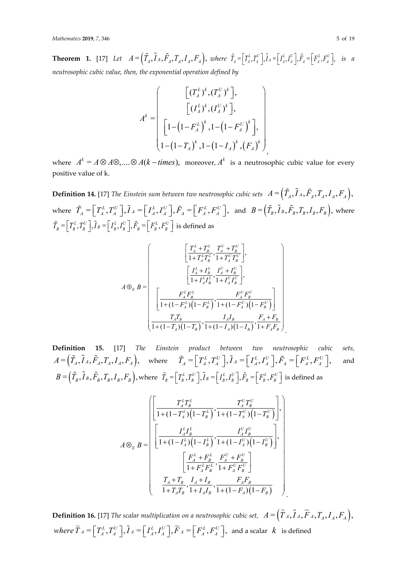**Theorem 1.** [17] Let  $A = (\tilde{T}_A, \tilde{T}_A, \tilde{F}_A, T_A, I_A, F_A)$ , where  $\tilde{T}_A = [T_A^L, T_A^U], \tilde{I}_A = [I_A^L, I_A^U], \tilde{F}_A = [F_A^L, F_A^U],$  is a *neutrosophic cubic value, then, the exponential operation defined by*

$$
A^{k} = \begin{bmatrix} \begin{bmatrix} (T_A^L)^k, (T_A^U)^k \end{bmatrix}, \\ \begin{bmatrix} (I_A^L)^k, (I_A^U)^k \end{bmatrix}, \\ \begin{bmatrix} 1 - (1 - F_A^L)^k, 1 - (1 - F_A^U)^k \end{bmatrix}, \\ 1 - (1 - T_A)^k, 1 - (1 - I_A)^k, (F_A)^k \end{bmatrix}
$$

where  $A^k = A \otimes A \otimes$ ,....  $\otimes A(k - \text{times})$ , moreover,  $A^k$  is a neutrosophic cubic value for every positive value of k.

**Definition 14.** [17] *The Einstein sum between two neutrosophic cubic sets*  $A = (\tilde{T}_A, \tilde{I}_A, \tilde{F}_A, T_A, I_A, F_A)$ , where  $\tilde{T}_A = \left[ T_A^L, T_A^U \right], \tilde{I}_A = \left[ I_A^L, I_A^U \right], \tilde{F}_A = \left[ F_A^L, F_A^U \right],$  and  $B = \left( \tilde{T}_B, \tilde{I}_B, \tilde{F}_B, T_B, I_B, F_B \right)$ , where  $\tilde{T}_B = \left[ \begin{array}{c} T_B^L, T_B^U \end{array} \right], \tilde{I}_B = \left[ \begin{array}{c} I_B^L, I_B^U \end{array} \right], \tilde{F}_B = \left[ \begin{array}{c} F_B^L, F_B^U \end{array} \right]$  is defined as

$$
A \oplus_{E} B = \left[\begin{array}{c} \left[\frac{T_{A}^{L} + T_{B}^{L}}{1 + T_{A}^{L} T_{B}^{L}} , \frac{T_{A}^{U} + T_{B}^{U}}{1 + T_{A}^{U} T_{B}^{U}}\right], \\ \left[\frac{I_{A}^{L} + I_{B}^{L}}{1 + I_{A}^{L} I_{B}^{L}} , \frac{I_{A}^{U} + I_{B}^{U}}{1 + I_{A}^{U} I_{B}^{U}}\right], \\ \left[\frac{F_{A}^{L} F_{B}^{L}}{1 + (1 - F_{A}^{L}) \left(1 - F_{B}^{L}\right)} , \frac{F_{A}^{U} F_{B}^{U}}{1 + (1 - F_{A}^{U}) \left(1 - F_{B}^{U}\right)}\right] \\ \frac{T_{A} T_{B}}{1 + (1 - T_{A}) \left(1 - T_{B}\right)} , \frac{I_{A} I_{B}}{1 + (1 - I_{A}) \left(1 - I_{B}\right)} , \frac{F_{A} + F_{B}}{1 + F_{A} F_{B}} \end{array}\right]
$$

**Definition 15.** [17] *The Einstein product between two neutrosophic cubic sets,*   $A = (\tilde{T}_A, \tilde{I}_A, \tilde{F}_A, T_A, I_A, F_A)$ , where  $\tilde{T}_A = \begin{bmatrix} T_A^L, T_A^U \end{bmatrix}$ ,  $\tilde{I}_A = \begin{bmatrix} I_A^L, I_A^U \end{bmatrix}$ ,  $\tilde{F}_A = \begin{bmatrix} F_A^L, F_A^U \end{bmatrix}$ , and  $B \! = \! \left(\tilde{T}_{\scriptscriptstyle B}, \tilde{I}_{\scriptscriptstyle B}, \tilde{F}_{\scriptscriptstyle B}, T_{\scriptscriptstyle B}, I_{\scriptscriptstyle B}, F_{\scriptscriptstyle B}\right)\!,$  where  $\tilde{T}_{\scriptscriptstyle B} \! = \! \left[\,T_{\scriptscriptstyle B}^{\scriptscriptstyle L}, T_{\scriptscriptstyle B}^{\scriptscriptstyle U}\,\right]\!,$   $\tilde{I}_{\scriptscriptstyle B} \! = \! \left[\,I_{\scriptscriptstyle B}^{\scriptscriptstyle L}, I_{\scriptscriptstyle B}^{\scriptscriptstyle U}\,\right]\!,$   $\tilde{F}_{\scriptscriptstyle B} \! = \! \left[\,F_{\scriptscript$ 

.

.

$$
A \otimes_E B = \begin{bmatrix} \frac{T_A^L T_B^L}{1 + (1 - T_A^L) (1 - T_B^L)}, \frac{T_A^U T_B^U}{1 + (1 - T_A^U) (1 - T_B^U)} \end{bmatrix},
$$
  
\n
$$
A \otimes_E B = \begin{bmatrix} \frac{I_A^L I_B^L}{1 + (1 - I_A^L) (1 - I_B^L)}, \frac{I_A^U I_B^U}{1 + (1 - I_A^U) (1 - I_B^U)} \end{bmatrix},
$$
  
\n
$$
\frac{I_A^L + F_B^L}{1 + F_A^L F_B^L}, \frac{F_A^U + F_B^U}{1 + F_A^U F_B^U} \end{bmatrix}
$$
  
\n
$$
\frac{T_A + T_B}{1 + T_A T_B}, \frac{I_A + I_B}{1 + I_A I_B}, \frac{F_A F_B}{1 + (1 - F_A) (1 - F_B)}
$$

**Definition 16.** [17] *The scalar multiplication on a neutrosophic cubic set,*  $A = (\tilde{T}_A, \tilde{I}_A, \tilde{F}_A, T_A, I_A, F_A)$ ,  $where \ \widetilde{T}_A = \left[\begin{matrix} T_A^L, T_A^U \end{matrix}\right], \widetilde{I}_A = \left[\begin{matrix} I_A^L, I_A^U \end{matrix}\right], \widetilde{F}_A = \left[\begin{matrix} F_A^L, F_A^U \end{matrix}\right], \ \text{and a scalar}\ \ k\ \ \text{is defined}$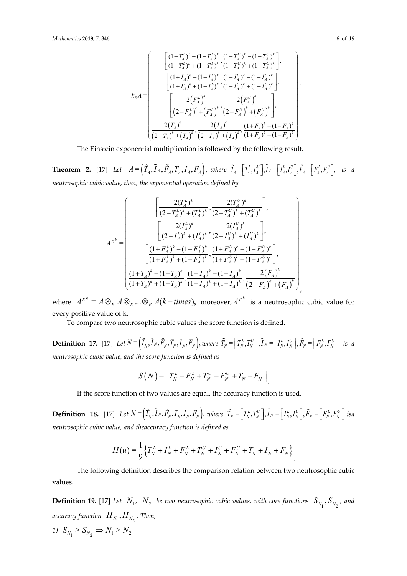$$
k_{E}A = \begin{pmatrix} \frac{\left(1+T_{A}^{L}\right)^{k} - \left(1-T_{A}^{L}\right)^{k}}{\left(1+T_{A}^{L}\right)^{k} + \left(1-T_{A}^{L}\right)^{k}}, \frac{\left(1+T_{A}^{U}\right)^{k} - \left(1-T_{A}^{U}\right)^{k}}{\left(1+T_{A}^{L}\right)^{k} + \left(1-T_{A}^{U}\right)^{k}}, \\ \frac{\left(1+L_{A}^{L}\right)^{k} - \left(1-L_{A}^{L}\right)^{k}}{\left(1+L_{A}^{L}\right)^{k} + \left(1-L_{A}^{U}\right)^{k}}, \frac{\left(1+L_{A}^{U}\right)^{k} - \left(1-L_{A}^{U}\right)^{k}}{\left(1+L_{A}^{U}\right)^{k} + \left(1-L_{A}^{U}\right)^{k}}, \\ \frac{2\left(F_{A}^{L}\right)^{k}}{\left(2-F_{A}^{L}\right)^{k} + \left(F_{A}^{L}\right)^{k}}, \frac{2\left(F_{A}^{U}\right)^{k}}{\left(2-F_{A}^{U}\right)^{k} + \left(F_{A}^{U}\right)^{k}} \end{pmatrix}, \\ \frac{2\left(T_{A}\right)^{k}}{\left(2-T_{A}\right)^{k} + \left(T_{A}\right)^{k}}, \frac{2\left(I_{A}\right)^{k}}{\left(2-I_{A}\right)^{k} + \left(I_{A}\right)^{k}}, \frac{\left(1+F_{A}\right)^{k} - \left(1-F_{A}\right)^{k}}{\left(1+F_{A}\right)^{k} + \left(1-F_{A}\right)^{k}} \end{pmatrix}
$$

The Einstein exponential multiplication is followed by the following result.

**Theorem 2.** [17] Let  $A = (\tilde{T}_A, \tilde{T}_A, \tilde{F}_A, T_A, I_A, F_A)$ , where  $\tilde{T}_A = [T_A^L, T_A^U], \tilde{I}_A = [I_A^L, I_A^U], \tilde{F}_A = [F_A^L, F_A^U],$  is a *neutrosophic cubic value, then, the exponential operation defined by*

$$
A^{E^{k}} = \begin{pmatrix} \frac{2(T_A^L)^k}{(2-T_A^L)^k + (T_A^L)^k}, \frac{2(T_A^U)^k}{(2-T_A^U)^k + (T_A^U)^k} \end{pmatrix},
$$
  
\n
$$
A^{E^{k}} = \begin{pmatrix} \frac{2(I_A^L)^k}{(2-I_A^L)^k + (I_A^L)^k}, \frac{2(I_A^U)^k}{(2-I_A^U)^k + (I_A^U)^k} \end{pmatrix},
$$
  
\n
$$
\frac{(1+F_A^L)^k - (1-F_A^L)^k}{(1+F_A^L)^k + (1-F_A^L)^k}, \frac{(1+F_A^U)^k - (1-F_A^U)^k}{(1+F_A^U)^k + (1-F_A^U)^k} \end{pmatrix},
$$
  
\n
$$
\frac{(1+T_A)^k - (1-T_A)^k}{(1+T_A)^k + (1-T_A)^k}, \frac{(1+I_A)^k - (1-I_A)^k}{(1+I_A)^k + (1-I_A)^k}, \frac{2(F_A)^k}{(2-F_A)^k + (F_A)^k}
$$

where  $A^{E^k} = A \otimes_E A \otimes_E ... \otimes_E A(k - \text{times}),$  moreover,  $A^{E^k}$  is a neutrosophic cubic value for every positive value of k.

To compare two neutrosophic cubic values the score function is defined.

**Definition 17.** [17] Let  $N = (\tilde{T}_N, I_N, \tilde{F}_N, T_N, I_N, F_N)$ , where  $\tilde{T}_N = \left[T_N^L, T_N^U\right], \tilde{I}_N = \left[I_N^L, I_N^U\right], \tilde{F}_N = \left[F_N^L, F_N^U\right]$  is a *neutrosophic cubic value, and the score function is defined as*

$$
S(N) = \left[ T_N^L - F_N^L + T_N^U - F_N^U + T_N - F_N \right]
$$

If the score function of two values are equal, the accuracy function is used.

**Definition 18.** [17] Let  $N = (\tilde{T}_N, \tilde{I}_N, \tilde{F}_N, T_N, I_N, F_N)$ , where  $\tilde{T}_N = \begin{bmatrix} T_N^L, T_N^U \end{bmatrix}$ ,  $\tilde{I}_N = \begin{bmatrix} I_N^L, I_N^U \end{bmatrix}$ ,  $\tilde{F}_N = \begin{bmatrix} F_N^L, F_N^U \end{bmatrix}$  isa *neutrosophic cubic value, and theaccuracy function is defined as*

$$
H(u) = \frac{1}{9} \Big\{ T_N^L + I_N^L + F_N^L + T_N^U + I_N^U + F_N^U + T_N + I_N + F_N \Big\}.
$$

The following definition describes the comparison relation between two neutrosophic cubic values.

**Definition 19.** [17] Let  $N_1$ ,  $N_2$  be two neutrosophic cubic values, with core functions  $S_{N_1}, S_{N_2}$ , and accuracy function  $\;H_{_{N_1}}, H_{_{N_2}}$  . Then, 1)  $S_{N_1} > S_{N_2} \Rightarrow N_1 > N_2$ 

.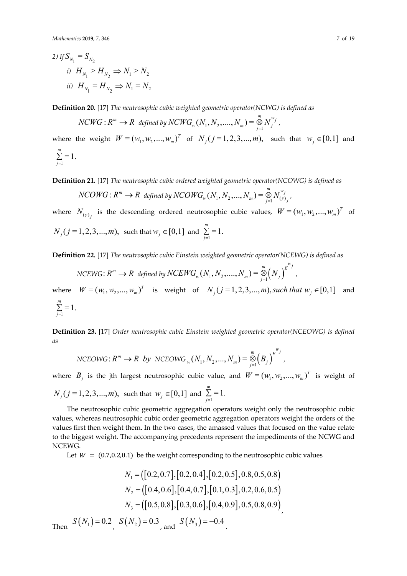2) If 
$$
S_{N_1} = S_{N_2}
$$
  
\ni)  $H_{N_1} > H_{N_2} \Rightarrow N_1 > N_2$   
\nii)  $H_{N_1} = H_{N_2} \Rightarrow N_1 = N_2$ 

**Definition 20.** [17] *The neutrosophic cubic weighted geometric operator(NCWG) is defined as*

 $NCWG: R^m \rightarrow R$  defined by  $NCWG_{_W}(N_1, N_2,....,N_m) = \mathop{\otimes}\limits_{j=1}^m N_j^{w_j}$  ,

where the weight  $W = (w_1, w_2, ..., w_m)^T$  of  $N_j (j = 1, 2, 3, ..., m)$ , such that  $w_j \in [0,1]$  and  $\sum_{i=1}^{m} = 1$ . *j*= ∑

**Definition 21.** [17] *The neutrosophic cubic ordered weighted geometric operator(NCOWG) is defined as*

 $NCOWG: R^m \rightarrow R$  defined by  $NCOMG_{_W}(N_1, N_2, ..., N_m) = \mathop \otimes \limits_{j=1}^m N_{(\gamma)_j}^{w_j}$  ,

where  $N_{(\gamma)}$  is the descending ordered neutrosophic cubic values,  $W = (w_1, w_2, ..., w_m)^T$  of  $N_j$  (*j* = 1, 2, 3, ..., *m*), such that  $w_j \in [0,1]$  and  $\sum_{j=1}^m = 1$ . *j*= ∑

**Definition 22.** [17] *The neutrosophic cubic Einstein weighted geometric operator(NCEWG) is defined as*

 $NCEWG\colon \mathit{R}^m \rightarrow \mathit{R} \ \textit{ defined by } NCEWG_{_W}(N_1, N_2,...., N_m) = \bigotimes_{j=1}^m \Bigl(N_j\Bigr)$  $\sum_{i=1}^{m}$   $\sum_{j=1}^{m}$  $NCEWG_{w}(N_1, N_2, \ldots, N_m) = \bigotimes_{j=1}^{m} (N_j)^2$ 

where  $W = (w_1, w_2, ..., w_m)^T$  is weight of  $N_j$  (  $j = 1, 2, 3, ..., m$  ), such that  $w_j \in [0,1]$  and  $\sum_{i=1}^{m}$  = 1. *j*= ∑

**Definition 23.** [17] *Order neutrosophic cubic Einstein weighted geometric operator(NCEOWG) is defined as*

$$
\text{NCEOWG}: R^m \to R \text{ by NCEOWG}_{w}(N_1, N_2, ..., N_m) = \bigotimes_{j=1}^{m} (B_j)^{E^{w_j}},
$$

where  $B_j$  is the jth largest neutrosophic cubic value, and  $W = (w_1, w_2, ..., w_m)^T$  is weight of  $N_j$  (*j* = 1, 2, 3, ..., *m*), such that  $w_j \in [0,1]$  and  $\sum_{j=1}^{m} = 1$ . *j*= ∑

The neutrosophic cubic geometric aggregation operators weight only the neutrosophic cubic values, whereas neutrosophic cubic order geometric aggregation operators weight the orders of the values first then weight them. In the two cases, the amassed values that focused on the value relate to the biggest weight. The accompanying precedents represent the impediments of the NCWG and NCEWG.

Let  $W = (0.7, 0.2, 0.1)$  be the weight corresponding to the neutrosophic cubic values

$$
N_1 = ([0.2, 0.7], [0.2, 0.4], [0.2, 0.5], 0.8, 0.5, 0.8)
$$
  
\n
$$
N_2 = ([0.4, 0.6], [0.4, 0.7], [0.1, 0.3], 0.2, 0.6, 0.5)
$$
  
\n
$$
N_3 = ([0.5, 0.8], [0.3, 0.6], [0.4, 0.9], 0.5, 0.8, 0.9)
$$
  
\nThen  $S(N_1) = 0.2$ ,  $S(N_2) = 0.3$ , and  $S(N_3) = -0.4$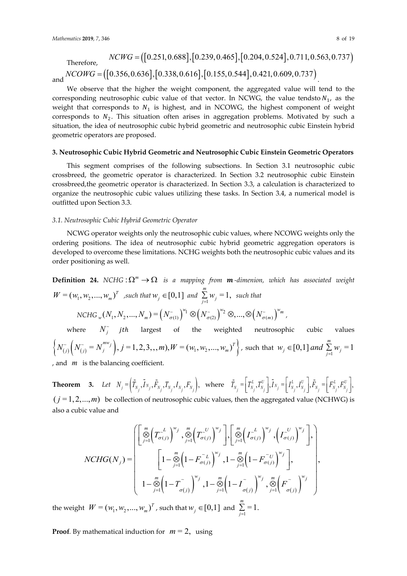Therefore,  
\n
$$
NCWG = ([0.251, 0.688], [0.239, 0.465], [0.204, 0.524], 0.711, 0.563, 0.737)
$$
\n
$$
NCOWG = ([0.356, 0.636], [0.338, 0.616], [0.155, 0.544], 0.421, 0.609, 0.737)
$$

We observe that the higher the weight component, the aggregated value will tend to the corresponding neutrosophic cubic value of that vector. In NCWG, the value tendsto  $N_1$ , as the weight that corresponds to  $N_1$  is highest, and in NCOWG, the highest component of weight corresponds to  $N_2$ . This situation often arises in aggregation problems. Motivated by such a situation, the idea of neutrosophic cubic hybrid geometric and neutrosophic cubic Einstein hybrid geometric operators are proposed.

#### **3. Neutrosophic Cubic Hybrid Geometric and Neutrosophic Cubic Einstein Geometric Operators**

This segment comprises of the following subsections. In Section 3.1 neutrosophic cubic crossbreed, the geometric operator is characterized. In Section 3.2 neutrosophic cubic Einstein crossbreed,the geometric operator is characterized. In Section 3.3, a calculation is characterized to organize the neutrosophic cubic values utilizing these tasks. In Section 3.4, a numerical model is outfitted upon Section 3.3.

### *3.1. Neutrosophic Cubic Hybrid Geometric Operator*

NCWG operator weights only the neutrosophic cubic values, where NCOWG weights only the ordering positions. The idea of neutrosophic cubic hybrid geometric aggregation operators is developed to overcome these limitations. NCHG weights both the neutrosophic cubic values and its order positioning as well.

**Definition 24.** *NCHG* :  $\Omega^m \to \Omega$  *is a mapping from m-dimenion, which has associated weight*  $W = (w_1, w_2, ..., w_m)^T$  *, such that*  $w_j \in [0,1]$  *and*  $\sum_{j=1}^{m} w_j = 1$ *, such that*  $NCHG_{w}(N_1, N_2, ..., N_m) = (N_{\sigma(1)}^{\sim})^{w_1} \otimes (N_{\sigma(2)}^{\sim})^{w_2} \otimes, ..., \otimes (N_{\sigma(m)}^{\sim})^{w_m}$ where  $N_j^*$  *jth* largest of the weighted neutrosophic cubic values  $\left\{ N_{(j)}^{\sim} \left( N_{(j)}^{\sim} = N_j^{m w_j} \right), j = 1, 2, 3, ..., m \right\}$ ,  $W = (w_1, w_2, ..., w_m)^T \right\}$ , such that  $w_j \in [0,1]$  and  $\sum_{j=1}^m w_j = 1$ 

, and *m* is the balancing coefficient.

**Theorem** 3. Let  $N_j = \left(\tilde{T}_{N_j}, \tilde{I}_{N_j}, \tilde{F}_{N_j}, T_{N_j}, I_{N_j}, F_{N_j}\right)$ , where  $\tilde{T}_{N_j} = \left[\begin{array}{c} T_{N_j}^L, T_{N_j}^U \end{array}\right], \tilde{I}_{N_j} = \left[\begin{array}{c} I_{N_j}^L, I_{N_j}^U \end{array}\right], \tilde{F}_{N_j} = \left[\begin{array}{c} F_{N_j}^L, F_{N_j}^U \end{array}\right],$  $(j = 1, 2, \ldots, m)$  be collection of neutrosophic cubic values, then the aggregated value (NCHWG) is also a cubic value and

$$
NCHG(N_j) = \begin{bmatrix} \left[ \frac{m}{\mathcal{D}} \left( T_{\sigma(j)}^{-L} \right)^{w_j}, \frac{m}{\mathcal{D}} \left( T_{\sigma(j)}^{-U} \right)^{w_j} \right], \left[ \frac{m}{\mathcal{D}} \left( T_{\sigma(j)}^{-L} \right)^{w_j}, \left( T_{\sigma(j)}^{-U} \right)^{w_j} \right], \\ \left[ 1 - \frac{m}{\mathcal{D}} \left( 1 - F_{\sigma(j)}^{-L} \right)^{w_j}, 1 - \frac{m}{\mathcal{D}} \left( 1 - F_{\sigma(j)}^{-U} \right)^{w_j} \right], \\ 1 - \frac{m}{\mathcal{D}} \left( 1 - T_{\sigma(j)}^{-} \right)^{w_j}, 1 - \frac{m}{\mathcal{D}} \left( 1 - T_{\sigma(j)}^{-} \right)^{w_j}, \frac{m}{\mathcal{D}} \left( F_{\sigma(j)}^{-} \right)^{w_j} \end{bmatrix},
$$

the weight  $W = (w_1, w_2, ..., w_m)^T$ , such that  $w_j \in [0,1]$  and  $\sum_{j=1}^{m} = 1$ . *j*= ∑

**Proof**. By mathematical induction for  $m = 2$ , using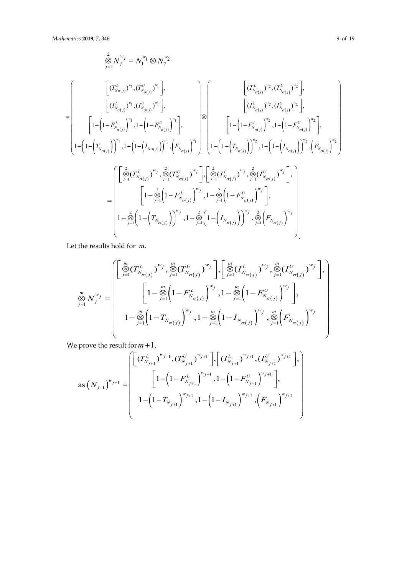$$
\begin{split} \stackrel{\triangle}{\otimes} N_{j}^{w_{j}} &= N_{1}^{w_{1}} \otimes N_{2}^{w_{2}} \\ & \hspace{1cm} \vdots \\ \hspace{1cm} \left[ (I_{N_{\sigma(j)}}^{L})^{w_{1}} , (I_{N_{\sigma(j)}}^{U})^{w_{1}} \right], \\ \hspace{1cm} \left[ (I_{N_{\sigma(j)}}^{L})^{w_{1}} , (I_{N_{\sigma(j)}}^{U})^{w_{1}} \right], \\ \hspace{1cm} \left[ 1- \left( 1- F_{N_{\sigma(j)}}^{L} \right)^{w_{1}} , 1- \left( 1- F_{N_{\sigma(j)}}^{U} \right)^{w_{1}} \right], \\ \hspace{1cm} \left[ 1- \left( 1- F_{N_{\sigma(j)}}^{L} \right)^{w_{1}} , 1- \left( 1- F_{N_{\sigma(j)}}^{U} \right)^{w_{1}} \right], \\ \hspace{1cm} \left[ 1- \left( 1- F_{N_{\sigma(j)}}^{L} \right)^{w_{2}} , 1- \left( 1- F_{N_{\sigma(j)}}^{U} \right)^{w_{2}} \right], \\ \hspace{1cm} \left[ 1- \left( 1- F_{N_{\sigma(j)}}^{L} \right)^{w_{2}} , 1- \left( 1- F_{N_{\sigma(j)}}^{U} \right)^{w_{2}} \right], \\ \hspace{1cm} \left[ 1- \left( 1- F_{N_{\sigma(j)}}^{L} \right)^{w_{2}} , 1- \left( 1- F_{N_{\sigma(j)}}^{U} \right)^{w_{2}} \right], \\ \hspace{1cm} \left[ 1- \left( 1- F_{N_{\sigma(j)}}^{L} \right)^{w_{2}} , \stackrel{\triangle}{\otimes} (I_{N_{\sigma(j)}}^{L} \right)^{w_{2}} , 1- \left( 1- \left( I_{N_{\sigma(j)}} \right)^{w_{2}} , 1- \left( 1- F_{N_{\sigma(j)}}^{U} \right)^{w_{2}} \right], \\ \hspace{1cm} \left[ 1- \frac{\hat{\otimes}}{\hat{\otimes}} \left( I_{N_{\sigma(j)}}^{L} \right)^{w_{j}} , 1- \frac{\hat{\otimes}}{\hat{\otimes}} \left( I_{N_{\sigma(j)}}^{L} \right)^{w_{j}} \right], \\ \hspace{1cm} \left[ 1- \frac{\hat{\otimes}}{\hat{\
$$

Let the results hold for  $m$ .

$$
\overset{m}{\underset{j=1}{\otimes}} N_{j}^{w_{j}} = \begin{bmatrix} \left[ \overset{m}{\underset{j=1}{\otimes}} (T_{N_{\sigma(j)}}^{L})^{w_{j}} , \overset{m}{\underset{j=1}{\otimes}} (T_{N_{\sigma(j)}}^{U})^{w_{j}} \right] , \left[ \overset{m}{\underset{j=1}{\otimes}} (I_{N_{\sigma(j)}}^{L})^{w_{j}} , \overset{m}{\underset{j=1}{\otimes}} (I_{N_{\sigma(j)}}^{U})^{w_{j}} \right], \\ \left[ 1 - \overset{m}{\underset{j=1}{\otimes}} \left( 1 - F_{N_{\sigma(j)}}^{L} \right)^{w_{j}} , 1 - \overset{m}{\underset{j=1}{\otimes}} \left( 1 - F_{N_{\sigma(j)}}^{U} \right)^{w_{j}} \right], \\ 1 - \overset{m}{\underset{j=1}{\otimes}} \left( 1 - T_{N_{\sigma(j)}} \right)^{w_{j}} , 1 - \overset{m}{\underset{j=1}{\otimes}} \left( 1 - I_{N_{\sigma(j)}} \right)^{w_{j}} , \overset{m}{\underset{j=1}{\otimes}} \left( F_{N_{\sigma(j)}} \right)^{w_{j}} \end{bmatrix}
$$

We prove the result for  $m+1$ ,

$$
\text{as } (N_{j+1})^{w_{j+1}} = \begin{bmatrix} \left[ \left( T^{L}_{N_{j+1}} \right)^{w_{j+1}}, \left( T^{U}_{N_{j+1}} \right)^{w_{j+1}} \right], \left[ \left( I^{L}_{N_{j+1}} \right)^{w_{j+1}}, \left( I^{U}_{N_{j+1}} \right)^{w_{j+1}} \right], \\ \left[ 1 - \left( 1 - F^{L}_{N_{j+1}} \right)^{w_{j+1}}, 1 - \left( 1 - F^{U}_{N_{j+1}} \right)^{w_{j+1}} \right], \\ 1 - \left( 1 - T_{N_{j+1}} \right)^{w_{j+1}}, 1 - \left( 1 - I_{N_{j+1}} \right)^{w_{j+1}}, \left( F_{N_{j+1}} \right)^{w_{j+1}} \end{bmatrix}
$$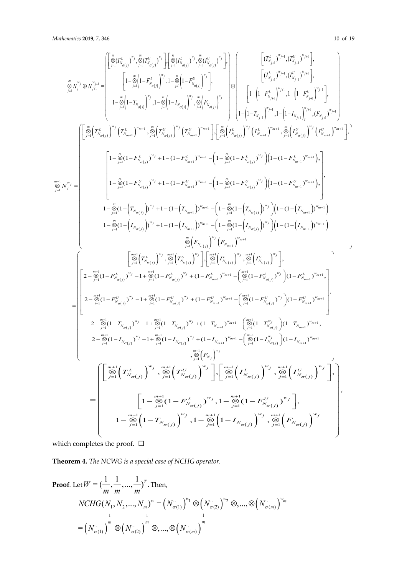$$
\sum_{j=1}^{8} N_{j}^{y_{j}} \oplus N_{j,ii}^{y_{j,ii}} =\n\begin{bmatrix}\n\left[\sum_{j=1}^{8} (T_{s_{\sigma(j)}}^{y_{j}})^{y_{j}}\sum_{j=1}^{8} (T_{s_{\sigma(j)}}^{y_{j}})^{y_{j}}\right]\n\left[\n\left[1-F_{s_{\sigma(j)}}^{y_{j}}\right)^{y_{j}}\right]\n\left[\n\left[ (T_{s_{\mu(j)}}^{k})^{y_{\mu1}}(T_{s_{\mu(j)}}^{p_{\mu1}})^{y_{\mu1}}\right]\n\left[\n\left[ (T_{s_{\mu(j)}}^{k})^{y_{\mu1}}(T_{s_{\mu(j)}}^{k})^{y_{\mu1}}\right]\n\left[\n\left[ (T_{s_{\mu(j)}}^{k})^{y_{\mu1}}(T_{s_{\mu(j)}}^{k})^{y_{\mu1}}\right]\n\left[\n\left[ (T_{s_{\mu(j)}}^{k})^{y_{\mu1}}(T_{s_{\mu(j)}}^{k})^{y_{\mu1}}\right]\n\left[\n\left[ (T_{s_{\mu(j)}}^{k})^{y_{\mu1}}(T_{s_{\mu(j)}}^{k})^{y_{\mu1}}\right]\n\left[\n\left[ (T_{s_{\mu(j)}}^{k})^{y_{\mu1}}(T_{s_{\mu(j)}}^{k})^{y_{\mu1}}\right]\n\left[\n\left[ (T_{s_{\mu(j)}}^{k})^{y_{\mu1}}(T_{s_{\mu(j)}}^{k})^{y_{\mu1}}\right]\n\left[\n\left[ (T_{s_{\mu(j)}}^{k})^{y_{\mu1}}(T_{s_{\mu(j)}}^{k})^{y_{\mu1}}\right]\n\left[\n\left[ (T_{s_{\mu(j)}}^{k})^{y_{\mu1}}(T_{s_{\mu(j)}}^{k})^{y_{\mu1}}\right]\n\left[\n\left[ (T_{s_{\mu(j)}}^{k})^{y_{\mu1}}(T_{s_{\mu(j)}}^{k})^{y_{\mu1}}\right]\n\left[\n\left[ (T_{s_{\mu(j)}}^{k})^{y_{\mu1}}(T_{s_{\mu(j)}}^{k})^{y_{\mu1}}\right]\n\left[\n\left[ (T_{s_{\mu(j)}}^{k})^{y_{\mu1}}(T_{s_{\mu(j)}}^{k})^{y_{\mu1}}\right]\n\left[\n\left[ (T_{s_{\mu(j)}}^{k})^{y_{\
$$

which completes the proof.  $\ \Box$ 

**Theorem 4.** *The NCWG is a special case of NCHG operator*.

Proof. Let 
$$
W = \left(\frac{1}{m}, \frac{1}{m}, ..., \frac{1}{m}\right)^T
$$
. Then,  
\n
$$
NCHG(N_1, N_2, ..., N_m)^w = \left(N_{\sigma(1)}^-\right)^{w_1} \otimes \left(N_{\sigma(2)}^-\right)^{w_2} \otimes, ..., \otimes \left(N_{\sigma(m)}^-\right)^{w_m}
$$
\n
$$
= \left(N_{\sigma(1)}^-\right)^{\frac{1}{m}} \otimes \left(N_{\sigma(2)}^-\right)^{\frac{1}{m}} \otimes, ..., \otimes \left(N_{\sigma(m)}^-\right)^{\frac{1}{m}}
$$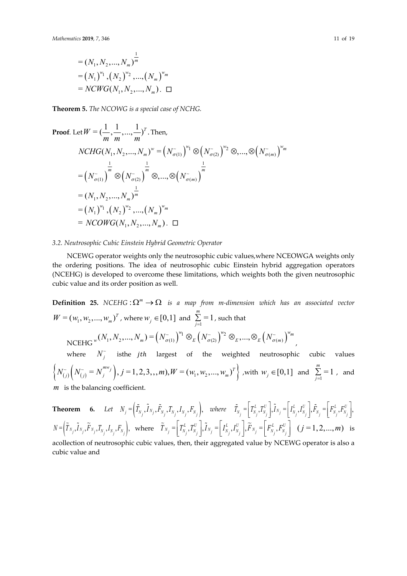$$
= (N_1, N_2, ..., N_m)^{\frac{1}{m}}
$$
  
=  $(N_1)^{w_1}, (N_2)^{w_2}, ..., (N_m)^{w_m}$   
=  $NCWG(N_1, N_2, ..., N_m)$ .  $\square$ 

**Theorem 5.** *The NCOWG is a special case of NCHG.*

Proof. Let 
$$
W = (\frac{1}{m}, \frac{1}{m}, ..., \frac{1}{m})^T
$$
. Then,  
\n $NCHG(N_1, N_2, ..., N_m)^w = (N_{\sigma(1)}^{-})^{w_1} \otimes (N_{\sigma(2)}^{-})^{w_2} \otimes, ..., \otimes (N_{\sigma(m)}^{-})^{w_m}$   
\n $= (N_{\sigma(1)}^{-})^{\frac{1}{m}} \otimes (N_{\sigma(2)}^{-})^{\frac{1}{m}} \otimes, ..., \otimes (N_{\sigma(m)}^{-})^{\frac{1}{m}}$   
\n $= (N_1, N_2, ..., N_m)^{\frac{1}{m}}$   
\n $= (N_1)^{w_1}, (N_2)^{w_2}, ..., (N_m)^{w_m}$   
\n $= NCOWG(N_1, N_2, ..., N_m).$ 

## *3.2. Neutrosophic Cubic Einstein Hybrid Geometric Operator*

NCEWG operator weights only the neutrosophic cubic values,where NCEOWGA weights only the ordering positions. The idea of neutrosophic cubic Einstein hybrid aggregation operators (NCEHG) is developed to overcome these limitations, which weights both the given neutrosophic cubic value and its order position as well.

**Definition 25.** *NCEHG* :  $\Omega^m \to \Omega$  *is a map from m-dimension which has an associated vector*  $W = (w_1, w_2, ..., w_m)^T$ , where  $w_j \in [0,1]$  and  $\sum_{j=1}^m = 1$  $\sum_{j=1}$  = 1, such that  $NCEHG^{w}(N_1, N_2, ..., N_m) = (N_{\sigma(1)}^{w})^{w_1} \otimes_E (N_{\sigma(2)}^{w})^{w_2} \otimes_E, ..., \otimes_E (N_{\sigma(m)}^{w})^{w_m}$ , where  $N_j^*$  isthe *jth* largest of the weighted neutrosophic cubic values  $\left\{ N_{(j)}^{\sim} \left( N_{(j)}^{\sim} = N_j^{m w_j} \right), j = 1, 2, 3, ..., m \right\}$ ,  $W = (w_1, w_2, ..., w_m)^T \right\}$ , with  $w_j \in [0,1]$  and  $\sum_{j=1}^m = 1$  $\sum_{j=1}$  = 1, and *m* is the balancing coefficient.

**Theorem** 6. Let  $N_j = \left(\tilde{T}_{N_j}, \tilde{I}_{N_j}, \tilde{F}_{N_j}, T_{N_j}, I_{N_j}, F_{N_j}\right)$ , where  $\tilde{T}_{N_j} = \left[\begin{matrix}T_{N_j}^L, T_{N_j}^U\end{matrix}\right], \tilde{I}_{N_j} = \left[\begin{matrix}I_{N_j}^L, I_{N_j}^U\end{matrix}\right], \tilde{F}_{N_j} = \left[\begin{matrix}F_{N_j}^L, F_{N_j}^U\end{matrix}\right],$  $N \! = \! \left(\widetilde{T}_{N_j},\widetilde{I}_{N_j},\widetilde{F}_{N_j},T_{N_j},F_{N_j}\right)\!, \ \ \ \text{where} \ \ \ \ \widetilde{T}_{N_j} \!=\! \left[\,T_{N_j}^L,T_{N_j}^U\,\right]\!, \widetilde{I}_{N_j} \!=\! \left[\,I_{N_j}^L,I_{N_j}^U\,\right]\!, \widetilde{F}_{N_j} \!=\! \left[\,F_{N_j}^L,F_{N_j}^U\,\right] \ \ \ \left(\,j=1,2,...,m\,\right) \ \ \ \text{is}$ 

acollection of neutrosophic cubic values, then, their aggregated value by NCEWG operator is also a cubic value and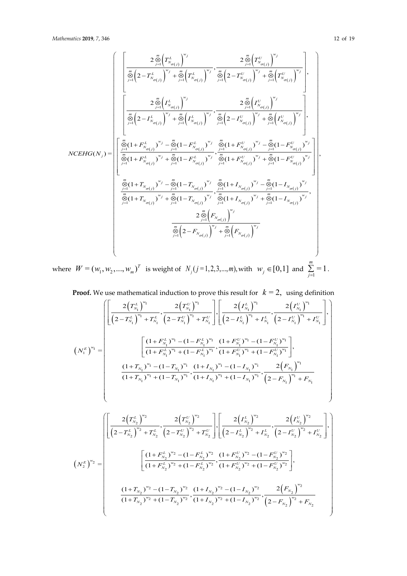$$
NCEHG(N_{j}) = \begin{bmatrix} \frac{2 \sum\limits_{j=1}^{\infty} \left(T_{N_{\sigma(j)}}^{L}\right)^{w_{j}}}{\left[\frac{\sum\limits_{j=1}^{\infty} \left(2-T_{N_{\sigma(j)}}^{L}\right)^{w_{j}} + \sum\limits_{j=1}^{\infty} \left(T_{N_{\sigma(j)}}^{L}\right)^{w_{j}} + \sum\limits_{j=1}^{\infty} \left(2-T_{N_{\sigma(j)}}^{U}\right)^{w_{j}} + \sum\limits_{j=1}^{\infty} \left(T_{N_{\sigma(j)}}^{U}\right)^{w_{j}} + \sum\limits_{j=1}^{\infty} \left(T_{N_{\sigma(j)}}^{U}\right)^{w_{j}} \\ \frac{2 \sum\limits_{j=1}^{\infty} \left(I_{N_{\sigma(j)}}^{L}\right)^{w_{j}}}{\left[\frac{\sum\limits_{j=1}^{\infty} \left(2-I_{N_{\sigma(j)}}^{L}\right)^{w_{j}} + \sum\limits_{j=1}^{\infty} \left(I_{N_{\sigma(j)}}^{L}\right)^{w_{j}} + \sum\limits_{j=1}^{\infty} \left(I_{N_{\sigma(j)}}^{U}\right)^{w_{j}} + \sum\limits_{j=1}^{\infty} \left(I_{N_{\sigma(j)}}^{U}\right)^{w_{j}} \\ \frac{2 \sum\limits_{j=1}^{\infty} \left(I_{N_{\sigma(j)}}^{L}\right)^{w_{j}}}{\left[\frac{\sum\limits_{j=1}^{\infty} \left(1+F_{N_{\sigma(j)}}^{L}\right)^{w_{j}} - \sum\limits_{j=1}^{\infty} \left(1-F_{N_{\sigma(j)}}^{L}\right)^{w_{j}} + \sum\limits_{j=1}^{\infty} \left(1-F_{N_{\sigma(j)}}^{U}\right)^{w_{j}} + \sum\limits_{j=1}^{\infty} \left(1-F_{N_{\sigma(j)}}^{U}\right)^{w_{j}} \\ \frac{2 \sum\limits_{j=1}^{\infty} \left(1+F_{N_{\sigma(j)}}^{L}\right)^{w_{j}} - \sum\limits_{j=1}^{\infty} \left(1-F_{N_{\sigma(j)}}^{L}\right)^{w_{j}} + \sum\limits_{j=1}^{\infty} \left(1+F_{N_{\sigma(j)}}^{U}\right)^{w_{j}} \\ \frac{2 \sum\limits_{j=1}^{\infty} \left(1+F_{N_{\sigma(j)}}^{U
$$

where  $W = (w_1, w_2, ..., w_m)^T$  is weight of  $N_j (j = 1, 2, 3, ..., m)$ , with  $w_j \in [0, 1]$  and  $\sum_{j=1}^{m} = 1$  $\sum_{j=1}$  = 1.

**Proof.** We use mathematical induction to prove this result for  $k = 2$ , using definition

$$
\left(\left(N_{1}^{E}\right)^{w_{1}}=\left[\frac{2\left(T_{N_{1}}^{L}\right)^{w_{1}}}{\left(2-T_{N_{1}}^{L}\right)^{w_{1}}+T_{N_{1}}^{L}},\frac{2\left(T_{N_{1}}^{U}\right)^{w_{1}}}{\left(2-T_{N_{1}}^{U}\right)^{w_{1}}+T_{N_{1}}^{U}}\right],\left[\frac{2\left(I_{N_{1}}^{L}\right)^{w_{1}}}{\left(2-I_{N_{1}}^{L}\right)^{w_{1}}+I_{N_{1}}^{L}},\frac{2\left(I_{N_{1}}^{U}\right)^{w_{1}}}{\left(2-I_{N_{1}}^{U}\right)^{w_{1}}+I_{N_{1}}^{U}}\right],\right]
$$
\n
$$
\left(N_{1}^{E}\right)^{w_{1}}=\left[\frac{\left(1+F_{N_{1}}^{L}\right)^{w_{1}}-\left(1-F_{N_{1}}^{L}\right)^{w_{1}}}{\left(1+F_{N_{1}}^{L}\right)^{w_{1}}+(1-F_{N_{1}}^{L})^{w_{1}}},\frac{\left(1+F_{N_{1}}^{U}\right)^{w_{1}}-\left(1-F_{N_{1}}^{U}\right)^{w_{1}}}{\left(1+F_{N_{1}}^{L}\right)^{w_{1}}-(1-T_{N_{1}})^{w_{1}}},\frac{\left(1+I_{N_{1}}\right)^{w_{1}}-\left(1-I_{N_{1}}\right)^{w_{1}}}{\left(1+I_{N_{1}}\right)^{w_{1}}+(1-T_{N_{1}})^{w_{1}}},\frac{2\left(F_{N_{1}}\right)^{w_{1}}}{\left(2-F_{N_{1}}\right)^{w_{1}}+F_{N_{1}}}\right]
$$

$$
\left(N_{2}^{E}\right)^{\omega_{2}} = \begin{bmatrix} \frac{2\left(T_{N_{2}}^{L}\right)^{\omega_{2}}}{\left(2-T_{N_{2}}^{L}\right)^{\omega_{2}}+T_{N_{2}}^{L}}, \frac{2\left(T_{N_{2}}^{U}\right)^{\omega_{2}}}{\left(2-T_{N_{2}}^{U}\right)^{\omega_{2}}+T_{N_{2}}^{U}} \left[\frac{2\left(I_{N_{2}}^{L}\right)^{\omega_{2}}}{\left(2-I_{N_{2}}^{L}\right)^{\omega_{2}}+I_{N_{2}}^{L}}, \frac{2\left(T_{N_{2}}^{U}\right)^{\omega_{2}}}{\left(2-I_{N_{2}}^{U}\right)^{\omega_{2}}+I_{N_{2}}^{U}} \right], \\ \frac{\left[(1+F_{N_{2}}^{L})^{\omega_{2}}-(1-F_{N_{2}}^{L})^{\omega_{2}}\right]\left[(1+F_{N_{2}}^{L})^{\omega_{2}}+(1-F_{N_{2}}^{U})^{\omega_{2}}-(1-F_{N_{2}}^{U})^{\omega_{2}}}{\left(1+F_{N_{2}}^{L})^{\omega_{2}}+(1-F_{N_{2}}^{U})^{\omega_{2}}+(1-F_{N_{2}}^{U})^{\omega_{2}}}\right], \\ \frac{\left(1+T_{N_{2}}\right)^{\omega_{2}}-(1-T_{N_{2}})^{\omega_{2}}}{\left(1+T_{N_{2}}\right)^{\omega_{2}}+(1-T_{N_{2}})^{\omega_{2}}}, \frac{\left(1+I_{N_{2}}\right)^{\omega_{2}}-(1-I_{N_{2}})^{\omega_{2}}}{\left(1+I_{N_{2}}\right)^{\omega_{2}}+(1-I_{N_{2}})^{\omega_{2}}}, \frac{2\left(F_{N_{2}}\right)^{\omega_{2}}}{\left(2-F_{N_{2}}\right)^{\omega_{2}}+F_{N_{2}}} \end{bmatrix} \right)
$$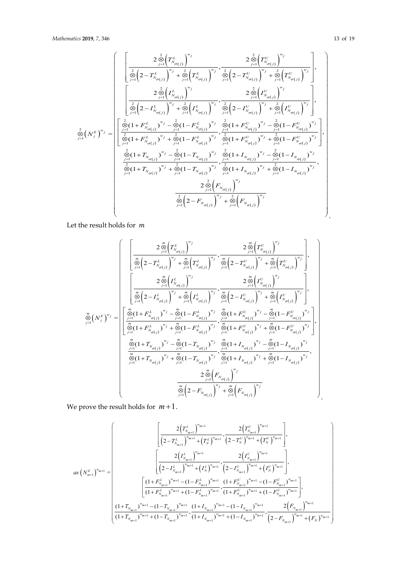$$
\begin{aligned} \hat{\zeta}_{j=1}^{2} \Big( N_{\sigma(j)}^{L} \Big)^{w_{j}} & \frac{2 \sum\limits_{j=1}^{2} \Big( T_{N_{\sigma(j)}}^{U} \Big)^{w_{j}} }{ \sum\limits_{j=1}^{2} \Big( 2 - T_{N_{\sigma(j)}}^{U} \Big)^{w_{j}} + \sum\limits_{j=1}^{2} \Big( T_{N_{\sigma(j)}}^{U} \Big)^{w_{j}} + \sum\limits_{j=1}^{2} \Big( T_{N_{\sigma(j)}}^{U} \Big)^{w_{j}} + \sum\limits_{j=1}^{2} \Big( T_{N_{\sigma(j)}}^{U} \Big)^{w_{j}} } \\ & \frac{2 \sum\limits_{j=1}^{2} \Big( I_{N_{\sigma(j)}}^{L} \Big)^{w_{j}} + \sum\limits_{j=1}^{2} \Big( I_{N_{\sigma(j)}}^{L} \Big)^{w_{j}} }{ \sum\limits_{j=1}^{2} \Big( 2 - I_{N_{\sigma(j)}}^{U} \Big)^{w_{j}} + \sum\limits_{j=1}^{2} \Big( I_{N_{\sigma(j)}}^{U} \Big)^{w_{j}} } \\ \frac{2 \sum\limits_{j=1}^{2} \Big( I_{N_{\sigma(j)}}^{U} \Big)^{w_{j}} }{ \sum\limits_{j=1}^{2} \Big( 2 - I_{N_{\sigma(j)}}^{U} \Big)^{w_{j}} + \sum\limits_{j=1}^{2} \Big( I_{N_{\sigma(j)}}^{U} \Big)^{w_{j}} + \sum\limits_{j=1}^{2} \Big( I_{N_{\sigma(j)}}^{U} \Big)^{w_{j}} } \\ \frac{2}{2} \Big( N_{j}^{E} \Big)^{w_{j}} = \begin{bmatrix} \frac{2}{\Theta} \Big( 1 + F_{N_{\sigma(j)}}^{L} \Big)^{w_{j}} - \frac{2}{\Theta} \Big( 1 - F_{N_{\sigma(j)}}^{L} \Big)^{w_{j}} - \frac{2}{\Theta} \Big( 1 + F_{N_{\sigma(j)}}^{U} \Big)^{w_{j}} + \frac{2}{\Theta} \Big( 1 - F_{N_{\sigma(j)}}^{U} \Big)^{w_{j}} }{ \sum\limits_{j=1}^{2} \Big( 1 + F_{N_{\sigma(j)}}^{U} \Big)^{w_{j}} + \frac{2}{\Theta} \Big( 1 - F_{N_{\sigma(j)}}^{U} \Big)^{w_{
$$

Let the result holds for  $m$ 

$$
\prod_{j=1}^{m} (N_{\sigma(j)}^{E})^{w_{j}} = \left[ \frac{2 \sum\limits_{j=1}^{m} \left(T_{N_{\sigma(j)}}^{L}\right)^{w_{j}} + \sum\limits_{j=1}^{m} \left(T_{N_{\sigma(j)}}^{L}\right)^{w_{j}}}{\left[2 - T_{N_{\sigma(j)}}^{L}\right)^{w_{j}} + \sum\limits_{j=1}^{m} \left(T_{N_{\sigma(j)}}^{L}\right)^{w_{j}} + \sum\limits_{j=1}^{m} \left(T_{N_{\sigma(j)}}^{L}\right)^{w_{j}} + \sum\limits_{j=1}^{m} \left(T_{N_{\sigma(j)}}^{L}\right)^{w_{j}}}\right],
$$
\n
$$
\prod_{j=1}^{m} (N_{j}^{E})^{w_{j}} = \left[ \frac{2 \sum\limits_{j=1}^{m} \left(I_{N_{\sigma(j)}}^{L}\right)^{w_{j}} + \sum\limits_{j=1}^{m} \left(I_{N_{\sigma(j)}}^{L}\right)^{w_{j}}}{\left[2 - I_{N_{\sigma(j)}}^{L}\right)^{w_{j}} + \sum\limits_{j=1}^{m} \left(2 - I_{N_{\sigma(j)}}^{U}\right)^{w_{j}} + \sum\limits_{j=1}^{m} \left(I_{N_{\sigma(j)}}^{U}\right)^{w_{j}}}\right],
$$
\n
$$
\prod_{j=1}^{m} (N_{j}^{E})^{w_{j}} = \left[ \frac{\sum\limits_{j=1}^{m} (1 + F_{N_{\sigma(j)}}^{L})^{w_{j}} - \sum\limits_{j=1}^{m} (1 - F_{N_{\sigma(j)}}^{L})^{w_{j}}}{\sum\limits_{j=1}^{m} (1 + F_{N_{\sigma(j)}}^{U})^{w_{j}} + \sum\limits_{j=1}^{m} (1 - F_{N_{\sigma(j)}}^{L})^{w_{j}}}\right],
$$
\n
$$
\prod_{j=1}^{m} (1 + T_{N_{\sigma(j)}})^{w_{j}} - \sum\limits_{j=1}^{m} (1 - T_{N_{\sigma(j)}})^{w_{j}} \sum\limits_{j=1}^{m} (1 + I_{N_{\sigma(j)}})^{w_{j}} + \sum\limits_{j=1}^{m} (1 - I_{N_{\sigma(j)}})^{w_{j}}}{\sum\limits_{j=1}^{m} (1 + I_{N_{\sigma(j)}})^{w_{j}} + \sum\limits_{j=1}^{m
$$

We prove the result holds for *m* +1.

$$
as\left(N_{m+1}^{E}\right)^{w_{m+1}} = \begin{bmatrix} \frac{2\left(T_{N_{m+1}}^{L}\right)^{w_{m+1}}}{\left(2-T_{N_{m+1}}^{L}\right)^{w_{m+1}} + \left(T_{N}^{L}\right)^{w_{m+1}}}, \frac{2\left(T_{N_{m+1}}^{U}\right)^{w_{m+1}}}{\left(2-T_{N}^{U}\right)^{w_{m+1}} + \left(T_{N}^{U}\right)^{w_{m+1}}}\end{bmatrix}, \\ as\left(N_{m+1}^{E}\right)^{w_{m+1}} = \begin{bmatrix} \frac{2\left(I_{N_{m+1}}^{L}\right)^{w_{m+1}}}{\left(2-I_{N_{m+1}}^{L}\right)^{w_{m+1}} + \left(I_{N}^{L}\right)^{w_{m+1}}}, \frac{2\left(I_{N_{m+1}}^{U}\right)^{w_{m+1}}}{\left(2-I_{N_{m+1}}^{U}\right)^{w_{m+1}} + \left(I_{N}^{U}\right)^{w_{m+1}}}\end{bmatrix}, \\ \frac{\left[(1+F_{N_{m+1}}^{L})^{w_{m+1}} - (1-F_{N_{m+1}}^{L})^{w_{m+1}} + \left(1-F_{N_{m+1}}^{U}\right)^{w_{m+1}}}{\left(1+F_{N_{m+1}}^{L}\right)^{w_{m+1}} + \left(1-F_{N_{m+1}}^{L}\right)^{w_{m+1}}}, \frac{1+F_{N_{m+1}}^{U}\right)^{w_{m+1}} + \left(1-F_{N_{m+1}}^{U}\right)^{w_{m+1}}}{\left(1+F_{N_{m+1}}\right)^{w_{m+1}} - \left(1-F_{N_{m+1}}^{L}\right)^{w_{m+1}}}, \frac{2\left(F_{N_{m+1}}\right)^{w_{m+1}}}{\left(1+F_{N_{m+1}}\right)^{w_{m+1}} + \left(1-F_{N_{m+1}}\right)^{w_{m+1}}}, \frac{2\left(F_{N_{m+1}}\right)^{w_{m+1}}}{\left(2-F_{N_{m+1}}\right)^{w_{m+1}} + \left(F_{N}\right)^{w_{m+1}}}\end{bmatrix}
$$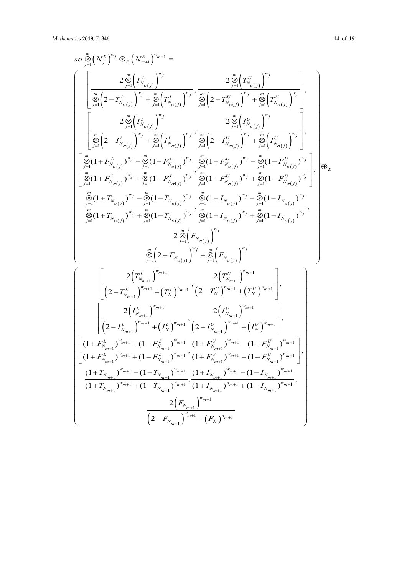$$
\begin{split} & so \sum _{j=1}^{\infty}\left(N_{j}^{E}\right)^{w_{j}}\otimes_{E}\left(N_{m+1}^{E}\right)^{w_{m+1}}=\\ & \left[\begin{array}{c} 2\sum _{j=1}^{\infty}\left(T_{N_{\sigma(j)}}^{L}\right)^{w_{j}}+\sum _{j=1}^{\infty}\left(T_{N_{\sigma(j)}}^{L}\right)^{w_{j}}+\sum _{j=1}^{\infty}\left(T_{N_{\sigma(j)}}^{L}\right)^{w_{j}}+\sum _{j=1}^{\infty}\left(T_{N_{\sigma(j)}}^{L}\right)^{w_{j}}+\sum _{j=1}^{\infty}\left(T_{N_{\sigma(j)}}^{L}\right)^{w_{j}}\right],\\ \frac{2\sum _{j=1}^{\infty}\left(I_{N_{\sigma(j)}}^{L}\right)^{w_{j}}+\sum _{j=1}^{\infty}\left(I_{N_{\sigma(j)}}^{L}\right)^{w_{j}}+\sum _{j=1}^{\infty}\left(T_{N_{\sigma(j)}}^{L}\right)^{w_{j}}+\sum _{j=1}^{\infty}\left(T_{N_{\sigma(j)}}^{L}\right)^{w_{j}}\right],\\ \frac{2\sum _{j=1}^{\infty}\left(I_{N_{\sigma(j)}}^{L}\right)^{w_{j}}+\sum _{j=1}^{\infty}\left(I_{N_{\sigma(j)}}^{L}\right)^{w_{j}}+\sum _{j=1}^{\infty}\left(I_{N_{\sigma(j)}}^{L}\right)^{w_{j}}+\sum _{j=1}^{\infty}\left(I_{N_{\sigma(j)}}^{L}\right)^{w_{j}}\right],\\ \frac{2\sum _{j=1}^{\infty}\left(I+F_{N_{\sigma(j)}}^{L}\right)^{w_{j}}+\sum _{j=1}^{\infty}(1-F_{N_{\sigma(j)}}^{L})^{w_{j}}+\sum _{j=1}^{\infty}(1+F_{N_{\sigma(j)}}^{L})^{w_{j}}+\sum _{j=1}^{\infty}(1-F_{N_{\sigma(j)}}^{L})^{w_{j}}\right],\\ \frac{2\sum _{j=1}^{\infty}\left(I+F_{N_{\sigma(j)}}^{L}\right)^{w_{j}}+\sum _{j=1}^{\infty}\left(I-F_{N_{\sigma(j)}}^{L}\right)^{w_{j}}+\sum _{j=1}^{\infty}\left(I-F_{N_{\sigma(j)}}^{L}\right)^{w_{j}}\\ \frac{2\sum _{j=1}^{\in
$$

 $\left( 2 - F_{N_{m+1}} \right)^{-m+1} + \left( F_N \right)^{-1}$ 

 $F_{N_{m+1}}$ <sup>"m+1</sup> +  $(F_{N})$ 

 $2 - F_{N_{m+1}}$ 

 $\left(2 - F_{N_{m+1}}\right)^{m+1}$  +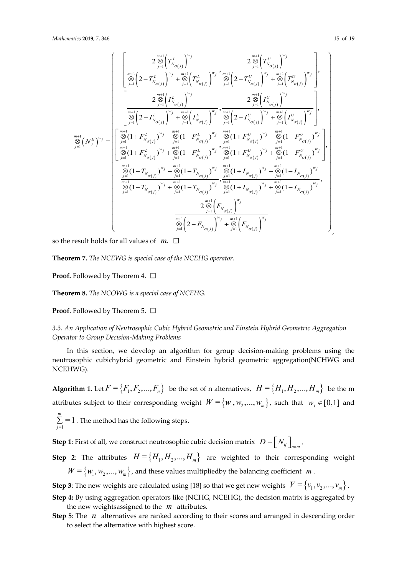,

$$
\sum_{j=1}^{m+1} \left(N_j^L \right)^{w_j} \frac{2 \sum_{j=1}^{m+1} \left(T_{N_{\sigma(j)}}^{U})^{w_j}}{\sum_{j=1}^{m+1} \left(2 - T_{N_{\sigma(j)}}^{L} \right)^{w_j} + \sum_{j=1}^{m+1} \left(T_{N_{\sigma(j)}}^{L} \right)^{w_j}} \cdot \frac{2 \sum_{j=1}^{m+1} \left(T_{N_{\sigma(j)}}^{U} \right)^{w_j}}{\sum_{j=1}^{m+1} \left(2 - T_{N_{\sigma(j)}}^{U} \right)^{w_j}} \cdot \frac{m+1}{\sum_{j=1}^{m+1} \left(T_{N_{\sigma(j)}}^{U} \right)^{w_j}} \cdot \frac{m+1}{\sum_{j=1}^{m+1} \left(T_{N_{\sigma(j)}}^{U} \right)^{w_j}}}{\sum_{j=1}^{m+1} \left(N_{\sigma(j)}^{L} \right)^{w_j}} \cdot \frac{2 \sum_{j=1}^{m+1} \left(I_{N_{\sigma(j)}}^{U} \right)^{w_j}}{\sum_{j=1}^{m+1} \left(2 - I_{N_{\sigma(j)}}^{U} \right)^{w_j}} \cdot \frac{m+1}{\sum_{j=1}^{m+1} \left(T_{N_{\sigma(j)}}^{U} \right)^{w_j}}}{\sum_{j=1}^{m+1} \left(N_{\sigma(j)}^{L} \right)^{w_j}} \cdot \frac{m+1}{\sum_{j=1}^{m+1} \left(T_{N_{\sigma(j)}}^{L} \right)^{w_j}} \cdot \frac{m+1}{\sum_{j=1}^{m+1} \left(2 - I_{N_{\sigma(j)}}^{U} \right)^{w_j}} \cdot \frac{m+1}{\sum_{j=1}^{m+1} \left(1 - F_{N_{\sigma(j)}}^{U} \right)^{w_j}}}{\sum_{j=1}^{m+1} \left(1 - F_{N_{\sigma(j)}}^{U} \right)^{w_j} \cdot \frac{m+1}{\sum_{j=1}^{m+1} \left(1 - F_{N_{\sigma(j)}}^{U} \right)^{w_j}} \cdot \frac{m+1}{\sum_{j=1}^{m+1} \left(1 - F_{N_{\sigma(j)}}^{U} \right)^{w_j}}}{\sum_{j=1}^{m+1} \left(1 + I_{N_{\sigma(j)}}^{V} \right)^{w_j} \cdot \frac{m+1}{\sum_{j=
$$

so the result holds for all values of  $m$ .  $\square$ 

**Theorem 7.** *The NCEWG is special case of the NCEHG operator*.

**Proof.** Followed by Theorem 4. □

**Theorem 8.** *The NCOWG is a special case of NCEHG.* 

**Proof.** Followed by Theorem 5. □

*3.3. An Application of Neutrosophic Cubic Hybrid Geometric and Einstein Hybrid Geometric Aggregation Operator to Group Decision-Making Problems*

In this section, we develop an algorithm for group decision-making problems using the neutrosophic cubichybrid geometric and Einstein hybrid geometric aggregation(NCHWG and NCEHWG).

**Algorithm 1.** Let  $F = \{F_1, F_2, ..., F_n\}$  be the set of n alternatives,  $H = \{H_1, H_2, ..., H_m\}$  be the m attributes subject to their corresponding weight  $W = \{w_1, w_2, ..., w_m\}$ , such that  $w_j \in [0,1]$  and

 $\sum_{i=1}^{m}$  = 1  $\sum_{j=1}$  = 1 . The method has the following steps.

**Step 1**: First of all, we construct neutrosophic cubic decision matrix  $D = [N_{ij}]_{n \times m}$ .

**Step 2**: The attributes  $H = \{H_1, H_2, ..., H_m\}$  are weighted to their corresponding weight  $W = \{w_1, w_2, ..., w_m\}$ , and these values multiplied by the balancing coefficient *m*.

**Step 3**: The new weights are calculated using [18] so that we get new weights  $V = \{v_1, v_2, ..., v_m\}$ .

- **Step 4:** By using aggregation operators like (NCHG, NCEHG), the decision matrix is aggregated by the new weightsassigned to the *m* attributes.
- **Step 5**: The *n* alternatives are ranked according to their scores and arranged in descending order to select the alternative with highest score.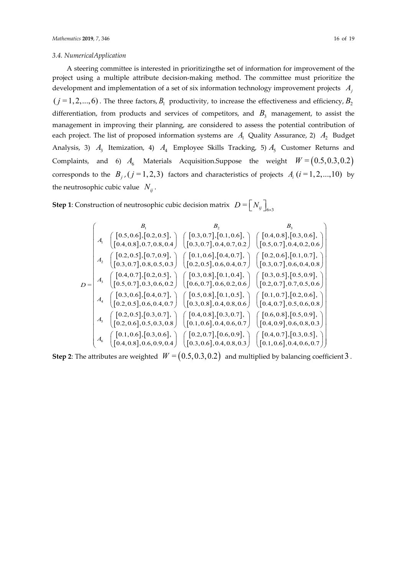#### *3.4. NumericalApplication*

A steering committee is interested in prioritizingthe set of information for improvement of the project using a multiple attribute decision-making method. The committee must prioritize the development and implementation of a set of six information technology improvement projects *Aj*  $(j = 1, 2, \ldots, 6)$ . The three factors,  $B_1$  productivity, to increase the effectiveness and efficiency,  $B_2$ differentiation, from products and services of competitors, and  $B_3$  management, to assist the management in improving their planning, are considered to assess the potential contribution of each project. The list of proposed information systems are  $A_1$  Quality Assurance, 2)  $A_2$  Budget Analysis, 3)  $A_3$  Itemization, 4)  $A_4$  Employee Skills Tracking, 5)  $A_5$  Customer Returns and Complaints, and 6)  $A_6$  Materials Acquisition.Suppose the weight  $W = (0.5, 0.3, 0.2)$ corresponds to the  $B_j$ , ( $j = 1, 2, 3$ ) factors and characteristics of projects  $A_i$  ( $i = 1, 2, ..., 10$ ) by the neutrosophic cubic value  $N_{ii}$ .

**Step 1**: Construction of neutrosophic cubic decision matrix  $D = \left[ N_y \right]_{6 \times 3}$ 

$$
D = \begin{pmatrix}\nB_1 & B_2 & B_3 \\
A_1 & \begin{bmatrix}\n0.5, 0.6\end{bmatrix}, [0.2, 0.5], \\
0.4, 0.8\end{bmatrix}, 0.7, 0.8, 0.4\n\end{pmatrix} & \begin{bmatrix}\n0.3, 0.7\end{bmatrix}, [0.1, 0.6], \\
0.5, 0.7\end{bmatrix}, [0.4, 0.2, 0.6]\n\end{pmatrix}
$$
\n
$$
D = \begin{pmatrix}\nA_2 & \begin{bmatrix}\n0.2, 0.5\end{bmatrix}, [0.7, 0.9], \\
A_3 & \begin{bmatrix}\n0.4, 0.7\end{bmatrix}, [0.2, 0.5], \\
0.8, 0.7\end{bmatrix}, 0.8, 0.5, 0.3\n\end{pmatrix} & \begin{bmatrix}\n0.1, 0.6\end{bmatrix}, [0.4, 0.7], \\
0.2, 0.5\end{bmatrix}, 0.6, 0.4, 0.7\n\end{pmatrix} & \begin{bmatrix}\n0.2, 0.6\end{bmatrix}, [0.1, 0.7], \\
0.3, 0.7\end{bmatrix}, 0.6, 0.4, 0.8\n\end{pmatrix}
$$
\n
$$
D = \begin{pmatrix}\nA_3 & \begin{bmatrix}\n0.4, 0.7\end{bmatrix}, [0.2, 0.5], \\
0.5, 0.7\end{bmatrix}, 0.3, 0.6, 0.2\n\end{pmatrix} & \begin{bmatrix}\n0.3, 0.8\end{bmatrix}, [0.1, 0.4], \\
0.6, 0.7\end{bmatrix}, [0.6, 0.2, 0.6]\n\end{pmatrix} & \begin{bmatrix}\n0.3, 0.5\end{bmatrix}, [0.5, 0.9], \\
0.6, 0.7\end{bmatrix}, [0.6, 0.2, 0.6]\n\end{pmatrix} & \begin{bmatrix}\n0.4, 0.7\end{bmatrix}, 0.6, 0.4, 0.8]
$$
\n
$$
A_4 & \begin{bmatrix}\n0.2, 0.5\end{bmatrix}, 0.6, 0.4, 0.7], \\
0.2, 0.5\end{bmatrix}, 0.6, 0.4
$$

**Step 2:** The attributes are weighted  $W = (0.5, 0.3, 0.2)$  and multiplied by balancing coefficient 3.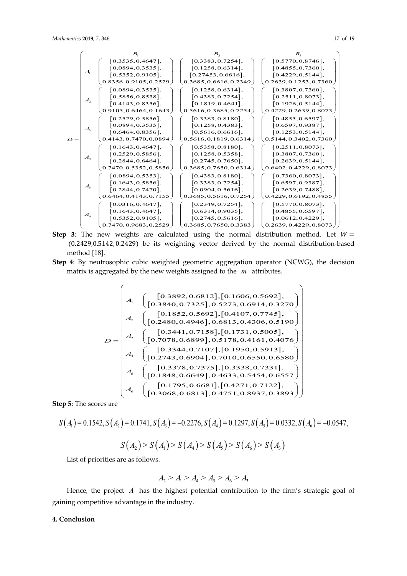

- **Step 3**: The new weights are calculated using the normal distribution method. Let  $W =$ (0.2429,0.5142, 0.2429) be its weighting vector derived by the normal distribution-based method [18].
- **Step 4**: By neutrosophic cubic weighted geometric aggregation operator (NCWG), the decision matrix is aggregated by the new weights assigned to the *m* attributes.

$$
D = \begin{pmatrix} \begin{pmatrix} 0.3892, 0.6812 \end{pmatrix}, \begin{bmatrix} 0.1606, 0.5692 \end{bmatrix}, \\ A_1 & \begin{bmatrix} 0.3840, 0.7325 \end{bmatrix}, 0.5273, 0.6914, 0.3270 \end{pmatrix} \\ A_2 & \begin{bmatrix} 0.1852, 0.5692 \end{bmatrix}, \begin{bmatrix} 0.4107, 0.7745 \end{bmatrix}, \\ A_3 & \begin{bmatrix} 0.2480, 0.4946 \end{bmatrix}, 0.6813, 0.4306, 0.5190 \end{bmatrix}, \\ A_4 & \begin{bmatrix} 0.3441, 0.7158 \end{bmatrix}, \begin{bmatrix} 0.1731, 0.5005 \end{bmatrix}, \\ A_4 & \begin{bmatrix} 0.3344, 0.7107 \end{bmatrix}, \begin{bmatrix} 0.1950, 0.5913 \end{bmatrix}, \\ A_5 & \begin{bmatrix} 0.2743, 0.6904 \end{bmatrix}, 0.7010, 0.6550, 0.6580 \end{bmatrix}, \\ A_6 & \begin{bmatrix} 0.1848, 0.6649 \end{bmatrix}, 0.4633, 0.5454, 0.6557 \end{bmatrix}, \\ A_6 & \begin{bmatrix} 0.1795, 0.6681 \end{bmatrix}, \begin{bmatrix} 0.4271, 0.7122 \end{bmatrix}, \\ A_7 & \begin{bmatrix} 0.1795, 0.6681 \end{bmatrix}, 0.4751, 0.8937, 0.3893 \end{pmatrix}
$$

**Step 5**: The scores are

$$
S(A1) = 0.1542, S(A2) = 0.1741, S(A3) = -0.2276, S(A4) = 0.1297, S(A5) = 0.0332, S(A6) = -0.0547,
$$
  

$$
S(A2) > S(A1) > S(A4) > S(A5) > S(A6) > S(A3)
$$

List of priorities are as follows.

$$
A_2 > A_1 > A_4 > A_5 > A_6 > A_3
$$

Hence, the project  $A_1$  has the highest potential contribution to the firm's strategic goal of gaining competitive advantage in the industry.

### **4. Conclusion**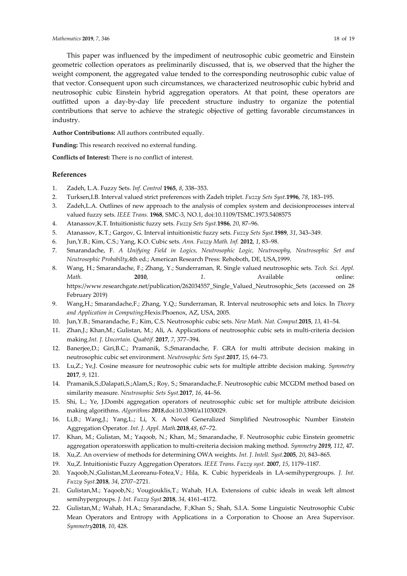This paper was influenced by the impediment of neutrosophic cubic geometric and Einstein geometric collection operators as preliminarily discussed, that is, we observed that the higher the weight component, the aggregated value tended to the corresponding neutrosophic cubic value of that vector. Consequent upon such circumstances, we characterized neutrosophic cubic hybrid and neutrosophic cubic Einstein hybrid aggregation operators. At that point, these operators are outfitted upon a day-by-day life precedent structure industry to organize the potential contributions that serve to achieve the strategic objective of getting favorable circumstances in industry.

**Author Contributions:** All authors contributed equally.

**Funding:** This research received no external funding.

**Conflicts of Interest:** There is no conflict of interest.

## **References**

- 1. Zadeh, L.A. Fuzzy Sets. *Inf. Control* **1965**, *8*, 338–353.
- 2. Turksen,I.B. Interval valued strict preferences with Zadeh triplet. *Fuzzy Sets Syst.***1996**, *78*, 183–195.
- 3. Zadeh,L.A. Outlines of new approach to the analysis of complex system and decisionprocesses interval valued fuzzy sets. *IEEE Trans.* **1968**, SMC-3, NO.1, doi:10.1109/TSMC.1973.5408575
- 4. Atanassov,K.T. Intuitionistic fuzzy sets. *Fuzzy Sets Syst.***1986**, *20*, 87–96.
- 5. Atanassov, K.T.; Gargov, G. Interval intuitionistic fuzzy sets. *Fuzzy Sets Syst.***1989**, *31*, 343–349.
- 6. Jun,Y.B.; Kim, C.S.; Yang, K.O. Cubic sets. *Ann. Fuzzy Math. Inf.* **2012**, *1*, 83–98.
- 7. Smarandache, F. *A Unifying Field in Logics, Neutrosophic Logic, Neutrosophy, Neutrosophic Set and Neutrosophic Probabilty*,4th ed.; American Research Press: Rehoboth, DE, USA,1999.
- 8. Wang, H.; Smarandache, F.; Zhang, Y.; Sunderraman, R. Single valued neutrosophic sets. *Tech. Sci. Appl. Math.* **2010**, *1*. Available online: https://www.researchgate.net/publication/262034557\_Single\_Valued\_Neutrosophic\_Sets (accessed on 28 February 2019)
- 9. Wang,H.; Smarandache,F.; Zhang, Y.Q.; Sunderraman, R. Interval neutrosophic sets and loics. In *Theory and Application in Computing*;Hexis:Phoenox, AZ, USA, 2005.
- 10. Jun,Y.B.; Smarandache, F.; Kim, C.S. Neutrosophic cubic sets. *New Math. Nat. Comput.***2015**, *13*, 41–54.
- 11. Zhan,J.; Khan,M.; Gulistan, M.; Ali, A. Applications of neutrosophic cubic sets in multi-criteria decision making.*Int. J. Uncertain. Quabtif.* **2017**, *7*, 377–394.
- 12. Banerjee,D.; Giri,B.C.; Pramanik, S.;Smarandache, F. GRA for multi attribute decision making in neutrosophic cubic set environment. *Neutrosophic Sets Syst.***2017**, *15*, 64–73.
- 13. Lu,Z.; Ye,J. Cosine measure for neutrosophic cubic sets for multiple attribte decision making. *Symmetry*  **2017**, *9*, 121.
- 14. Pramanik,S.;Dalapati,S.;Alam,S.; Roy, S.; Smarandache,F. Neutrosophic cubic MCGDM method based on similarity measure. *Neutrosophic Sets Syst.***2017**, *16*, 44–56.
- 15. Shi, L.; Ye, J.Dombi aggregation operators of neutrosophic cubic set for multiple attribute deicision making algorithms. *Algorithms 2018*,doi:10.3390/a11030029.
- 16. Li,B.; Wang,J.; Yang,L.; Li, X. A Novel Generalized Simplified Neutrosophic Number Einstein Aggregation Operator. *Int. J. Appl. Math.***2018**,*48*, 67–72.
- 17. Khan, M.; Gulistan, M.; Yaqoob, N.; Khan, M.; Smarandache, F. Neutrosophic cubic Einstein geometric aggregation operatorswith application to multi-creiteria decision making method. *Symmetry 2019, 112*, 47**.**
- 18. Xu,Z. An overview of methods for determining OWA weights. *Int. J. Intell. Syst.***2005**, *20*, 843–865.
- 19. Xu,Z. Intuitionistic Fuzzy Aggregation Operators. *IEEE Trans. Fuzzy syst.* **2007**, *15*, 1179–1187.
- 20. Yaqoob,N.;Gulistan,M.;Leoreanu-Fotea,V.; Hila, K. Cubic hyperideals in LA-semihypergroups. *J. Int. Fuzzy Syst.***2018**, *34*, 2707–2721.
- 21. Gulistan,M.; Yaqoob,N.; Vougiouklis,T.; Wahab, H.A. Extensions of cubic ideals in weak left almost semihypergroups. *J. Int. Fuzzy Syst.***2018**, *34*, 4161–4172.
- 22. Gulistan,M.; Wahab, H.A.; Smarandache, F.;Khan S.; Shah, S.I.A. Some Linguistic Neutrosophic Cubic Mean Operators and Entropy with Applications in a Corporation to Choose an Area Supervisor. *Symmetry***2018**, *10*, 428.